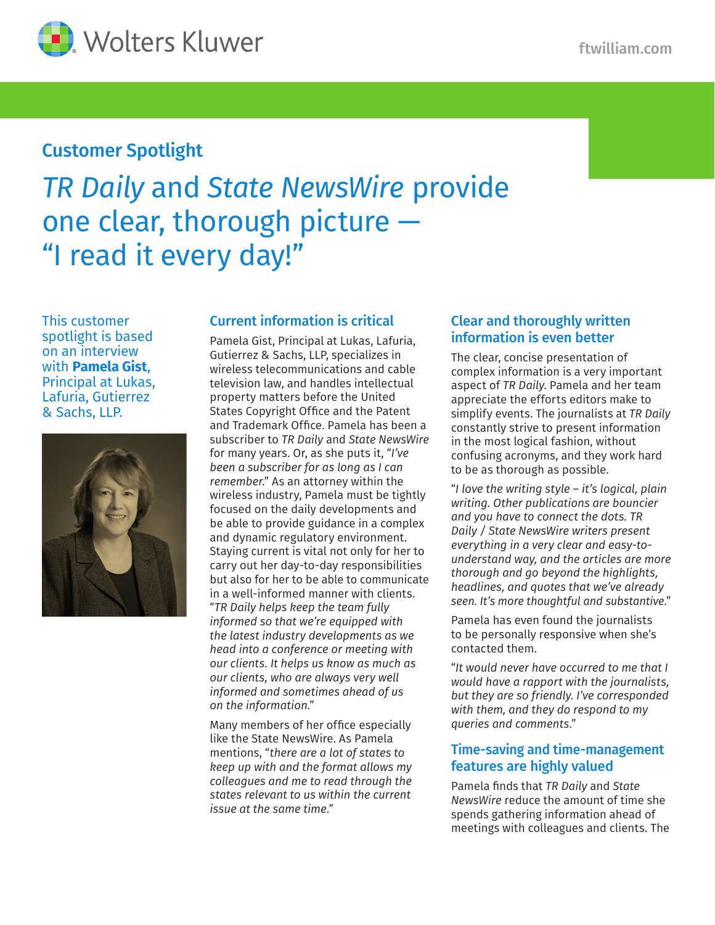

# Customer Spotlight

# *TR Daily* and *State NewsWire* provide one clear, thorough picture — "I read it every day!"

This customer spotlight is based on an interview with **Pamela Gist**, Principal at Lukas, Lafuria, Gutierrez & Sachs, LLP.



## Current information is critical

Pamela Gist, Principal at Lukas, Lafuria, Gutierrez & Sachs, LLP, specializes in wireless telecommunications and cable television law, and handles intellectual property matters before the United States Copyright Office and the Patent and Trademark Office. Pamela has been a subscriber to *TR Daily* and *State NewsWire* for many years. Or, as she puts it, "*I've been a subscriber for as long as I can remember*." As an attorney within the wireless industry, Pamela must be tightly focused on the daily developments and be able to provide guidance in a complex and dynamic regulatory environment. Staying current is vital not only for her to carry out her day-to-day responsibilities but also for her to be able to communicate in a well-informed manner with clients. "*TR Daily helps keep the team fully informed so that we're equipped with the latest industry developments as we head into a conference or meeting with our clients. It helps us know as much as our clients, who are always very well informed and sometimes ahead of us on the information*."

Many members of her office especially like the State NewsWire. As Pamela mentions, "*there are a lot of states to keep up with and the format allows my colleagues and me to read through the states relevant to us within the current issue at the same time*."

#### Clear and thoroughly written information is even better

The clear, concise presentation of complex information is a very important aspect of *TR Daily*. Pamela and her team appreciate the efforts editors make to simplify events. The journalists at *TR Daily* constantly strive to present information in the most logical fashion, without confusing acronyms, and they work hard to be as thorough as possible.

"*I love the writing style – it's logical, plain writing. Other publications are bouncier and you have to connect the dots. TR Daily / State NewsWire writers present everything in a very clear and easy-tounderstand way, and the articles are more thorough and go beyond the highlights, headlines, and quotes that we've already seen. It's more thoughtful and substantive*."

Pamela has even found the journalists to be personally responsive when she's contacted them.

"*It would never have occurred to me that I would have a rapport with the journalists, but they are so friendly. I've corresponded with them, and they do respond to my queries and comments*."

#### Time-saving and time-management features are highly valued

Pamela finds that *TR Daily* and *State NewsWire* reduce the amount of time she spends gathering information ahead of meetings with colleagues and clients. The